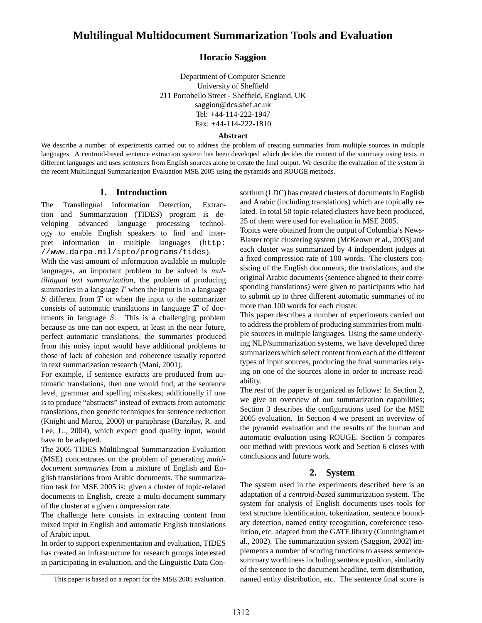## **Multilingual Multidocument Summarization Tools and Evaluation**

## **Horacio Saggion**

Department of Computer Science University of Sheffield 211 Portobello Street - Sheffield, England, UK saggion@dcs.shef.ac.uk Tel: +44-114-222-1947 Fax: +44-114-222-1810

#### **Abstract**

We describe a number of experiments carried out to address the problem of creating summaries from multiple sources in multiple languages. A centroid-based sentence extraction system has been developed which decides the content of the summary using texts in different languages and uses sentences from English sources alone to create the final output. We describe the evaluation of the system in the recent Multilingual Summarization Evaluation MSE 2005 using the pyramids and ROUGE methods.

## **1. Introduction**

The Translingual Information Detection, Extraction and Summarization (TIDES) program is developing advanced language processing technology to enable English speakers to find and interpret information in multiple languages (http: //www.darpa.mil/ipto/programs/tides).

With the vast amount of information available in multiple languages, an important problem to be solved is *multilingual text summarization*, the problem of producing summaries in a language  $T$  when the input is in a language  $S$  different from  $T$  or when the input to the summarizer consists of automatic translations in language T of documents in language  $S$ . This is a challenging problem because as one can not expect, at least in the near future, perfect automatic translations, the summaries produced from this noisy input would have additional problems to those of lack of cohesion and coherence usually reported in text summarization research (Mani, 2001).

For example, if sentence extracts are produced from automatic translations, then one would find, at the sentence level, grammar and spelling mistakes; additionally if one is to produce "abstracts" instead of extracts from automatic translations, then generic techniques for sentence reduction (Knight and Marcu, 2000) or paraphrase (Barzilay, R. and Lee, L., 2004), which expect good quality input, would have to be adapted.

The 2005 TIDES Multilingual Summarization Evaluation (MSE) concentrates on the problem of generating *multidocument summaries* from a mixture of English and English translations from Arabic documents. The summarization task for MSE 2005 is: given a cluster of topic-related documents in English, create a multi-document summary of the cluster at a given compression rate.

The challenge here consists in extracting content from mixed input in English and automatic English translations of Arabic input.

In order to support experimentation and evaluation, TIDES has created an infrastructure for research groups interested in participating in evaluation, and the Linguistic Data Con-

sortium (LDC) has created clusters of documents in English and Arabic (including translations) which are topically related. In total 50 topic-related clusters have been produced, 25 of them were used for evaluation in MSE 2005.

Topics were obtained from the output of Columbia's News-Blaster topic clustering system (McKeown et al., 2003) and each cluster was summarized by 4 independent judges at a fixed compression rate of 100 words. The clusters consisting of the English documents, the translations, and the original Arabic documents (sentence aligned to their corresponding translations) were given to participants who had to submit up to three different automatic summaries of no more than 100 words for each cluster.

This paper describes a number of experiments carried out to address the problem of producing summaries from multiple sources in multiple languages. Using the same underlying NLP/summarization systems, we have developed three summarizers which select content from each of the different types of input sources, producing the final summaries relying on one of the sources alone in order to increase readability.

The rest of the paper is organized as follows: In Section 2, we give an overview of our summarization capabilities; Section 3 describes the configurations used for the MSE 2005 evaluation. In Section 4 we present an overview of the pyramid evaluation and the results of the human and automatic evaluation using ROUGE. Section 5 compares our method with previous work and Section 6 closes with conclusions and future work.

## **2. System**

The system used in the experiments described here is an adaptation of a *centroid-based* summarization system. The system for analysis of English documents uses tools for text structure identification, tokenization, sentence boundary detection, named entity recognition, coreference resolution, etc. adapted from the GATE library (Cunningham et al., 2002). The summarization system (Saggion, 2002) implements a number of scoring functions to assess sentencesummary worthiness including sentence position, similarity of the sentence to the document headline, term distribution, named entity distribution, etc. The sentence final score is

This paper is based on a report for the MSE 2005 evaluation.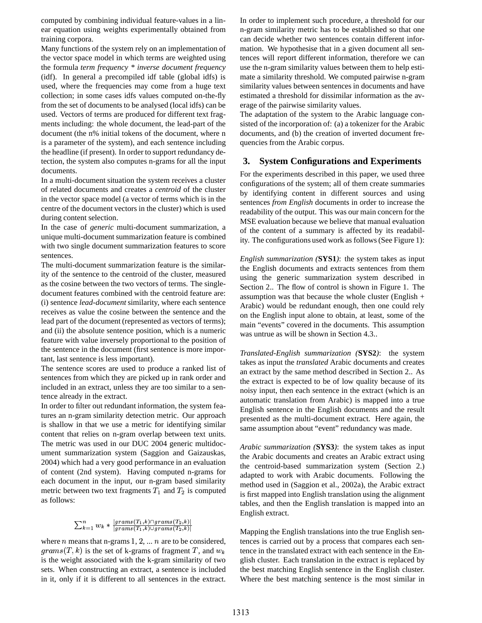computed by combining individual feature-values in a linear equation using weights experimentally obtained from training corpora.

Many functions of the system rely on an implementation of the vector space model in which terms are weighted using the formula *term frequency \* inverse document frequency* (idf). In general a precompiled idf table (global idfs) is used, where the frequencies may come from a huge text collection; in some cases idfs values computed on-the-fly from the set of documents to be analysed (local idfs) can be used. Vectors of terms are produced for different text fragments including: the whole document, the lead-part of the document (the n% initial tokens of the document, where n is a parameter of the system), and each sentence including the headline (if present). In order to support redundancy detection, the system also computes n-grams for all the input documents.

In a multi-document situation the system receives a cluster of related documents and creates a *centroid* of the cluster in the vector space model (a vector of terms which is in the centre of the document vectors in the cluster) which is used during content selection.

In the case of *generic* multi-document summarization, a unique multi-document summarization feature is combined with two single document summarization features to score sentences.

The multi-document summarization feature is the similarity of the sentence to the centroid of the cluster, measured as the cosine between the two vectors of terms. The singledocument features combined with the centroid feature are: (i) sentence *lead-document* similarity, where each sentence receives as value the cosine between the sentence and the lead part of the document (represented as vectors of terms); and (ii) the absolute sentence position, which is a numeric feature with value inversely proportional to the position of the sentence in the document (first sentence is more important, last sentence is less important).

The sentence scores are used to produce a ranked list of sentences from which they are picked up in rank order and included in an extract, unless they are too similar to a sentence already in the extract.

In order to filter out redundant information, the system features an n-gram similarity detection metric. Our approach is shallow in that we use a metric for identifying similar content that relies on n-gram overlap between text units. The metric was used in our DUC 2004 generic multidocument summarization system (Saggion and Gaizauskas, 2004) which had a very good performance in an evaluation of content (2nd system). Having computed n-grams for each document in the input, our n-gram based similarity metric between two text fragments  $T_1$  and  $T_2$  is computed as follows:

# $\sum_{k=1}^{n} y_{lk} * \frac{|grams(T_1, k) \cap grams(T_2, k)|}{|gramS(T_1, k)|}$

where  $n$  means that n-grams 1, 2, ...  $n$  are to be considered,  $grams(T, k)$  is the set of k-grams of fragment T, and  $w_k$  tence in t is the weight associated with the k-gram similarity of two sets. When constructing an extract, a sentence is included in it, only if it is different to all sentences in the extract.

In order to implement such procedure, a threshold for our n-gram similarity metric has to be established so that one can decide whether two sentences contain different information. We hypothesise that in a given document all sentences will report different information, therefore we can use the n-gram similarity values between them to help estimate a similarity threshold. We computed pairwise n-gram similarity values between sentences in documents and have estimated a threshold for dissimilar information as the average of the pairwise similarity values.

The adaptation of the system to the Arabic language consisted of the incorporation of: (a) a tokenizer for the Arabic documents, and (b) the creation of inverted document frequencies from the Arabic corpus.

## **3. System Configurations and Experiments**

For the experiments described in this paper, we used three configurations of the system; all of them create summaries by identifying content in different sources and using sentences *from English* documents in order to increase the readability of the output. This was our main concern for the MSE evaluation because we believe that manual evaluation of the content of a summary is affected by its readability. The configurations used work as follows(See Figure 1):

*English summarization (***SYS1***)*: the system takes as input the English documents and extracts sentences from them using the generic summarization system described in Section 2.. The flow of control is shown in Figure 1. The assumption was that because the whole cluster (English + Arabic) would be redundant enough, then one could rely on the English input alone to obtain, at least, some of the main "events" covered in the documents. This assumption was untrue as will be shown in Section 4.3..

*Translated-English summarization (***SYS2***)*: the system takes as input the *translated* Arabic documents and creates an extract by the same method described in Section 2.. As the extract is expected to be of low quality because of its noisy input, then each sentence in the extract (which is an automatic translation from Arabic) is mapped into a true English sentence in the English documents and the result presented as the multi-document extract. Here again, the same assumption about "event" redundancy was made.

*Arabic summarization (***SYS3***)*: the system takes as input the Arabic documents and creates an Arabic extract using the centroid-based summarization system (Section 2.) adapted to work with Arabic documents. Following the method used in (Saggion et al., 2002a), the Arabic extract is first mapped into English translation using the alignment tables, and then the English translation is mapped into an English extract.

Mapping the English translations into the true English sentences is carried out by a process that compares each sentence in the translated extract with each sentence in the English cluster. Each translation in the extract is replaced by the best matching English sentence in the English cluster. Where the best matching sentence is the most similar in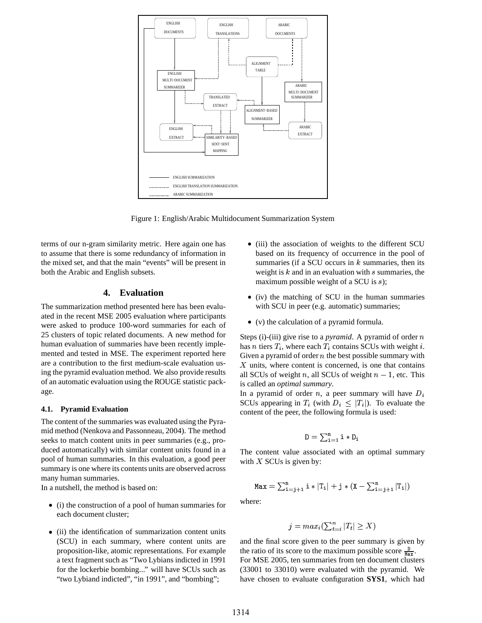

Figure 1: English/Arabic Multidocument Summarization System

terms of our n-gram similarity metric. Here again one has to assume that there is some redundancy of information in the mixed set, and that the main "events" will be present in both the Arabic and English subsets.

## **4. Evaluation**

The summarization method presented here has been evaluated in the recent MSE 2005 evaluation where participants were asked to produce 100-word summaries for each of 25 clusters of topic related documents. A new method for human evaluation of summaries have been recently implemented and tested in MSE. The experiment reported here are a contribution to the first medium-scale evaluation using the pyramid evaluation method. We also provide results of an automatic evaluation using the ROUGE statistic package.

#### **4.1. Pyramid Evaluation**

The content of the summaries was evaluated using the Pyramid method (Nenkova and Passonneau, 2004). The method seeks to match content units in peer summaries (e.g., produced automatically) with similar content units found in a pool of human summaries. In this evaluation, a good peer summary is one where its contents units are observed across many human summaries.

In a nutshell, the method is based on:

- (i) the construction of a pool of human summaries for each document cluster;
- (ii) the identification of summarization content units (SCU) in each summary, where content units are proposition-like, atomic representations. For example a text fragment such as "Two Lybians indicted in 1991 for the lockerbie bombing..." will have SCUs such as "two Lybiand indicted", "in 1991", and "bombing";
- (iii) the association of weights to the different SCU based on its frequency of occurrence in the pool of summaries (if a SCU occurs in  $k$  summaries, then its weight is  $k$  and in an evaluation with  $s$  summaries, the maximum possible weight of a SCU is  $s$ );
- (iv) the matching of SCU in the human summaries with SCU in peer (e.g. automatic) summaries;
- (v) the calculation of a pyramid formula.

Steps (i)-(iii) give rise to a *pyramid*. A pyramid of order  $n$ has *n* tiers  $T_i$ , where each  $T_i$  contains SCUs with weight *i*. Given a pyramid of order  $n$  the best possible summary with  $X$  units, where content is concerned, is one that contains all SCUs of weight *n*, all SCUs of weight  $n - 1$ , etc. This is called an *optimal summary*.

In a pyramid of order *n*, a peer summary will have  $D_i$ SCUs appearing in  $T_i$  (with  $D_i \leq |T_i|$ ). To evaluate the content of the peer, the following formula is used:

$$
\texttt{D} = \textstyle\sum_{i=1}^n \texttt{i} * \texttt{D}_i
$$

The content value associated with an optimal summary with  $X$  SCUs is given by:

$$
\texttt{Max} = \sum_{i=j+1}^{n} i * |T_i| + j * (X - \sum_{i=j+1}^{n} |T_i|)
$$

where:

$$
j = max_i \left( \sum_{t=i}^{n} |T_t| \ge X \right)
$$

and the final score given to the peer summary is given by the ratio of its score to the maximum possible score  $\frac{D}{\text{Max}}$ . For MSE 2005, ten summaries from ten document clusters (33001 to 33010) were evaluated with the pyramid. We have chosen to evaluate configuration **SYS1**, which had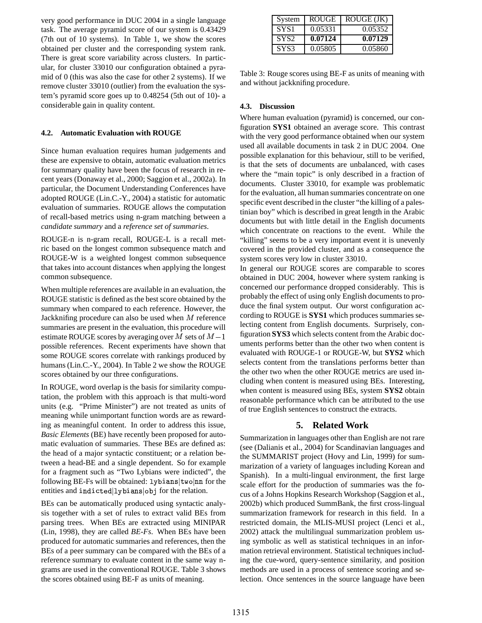very good performance in DUC 2004 in a single language task. The average pyramid score of our system is 0.43429 (7th out of 10 systems). In Table 1, we show the scores obtained per cluster and the corresponding system rank. There is great score variability across clusters. In particular, for cluster 33010 our configuration obtained a pyramid of 0 (this was also the case for other 2 systems). If we remove cluster 33010 (outlier) from the evaluation the system's pyramid score goes up to 0.48254 (5th out of 10)- a considerable gain in quality content.

#### **4.2. Automatic Evaluation with ROUGE**

Since human evaluation requires human judgements and these are expensive to obtain, automatic evaluation metrics for summary quality have been the focus of research in recent years (Donaway et al., 2000; Saggion et al., 2002a). In particular, the Document Understanding Conferences have adopted ROUGE (Lin.C.-Y., 2004) a statistic for automatic evaluation of summaries. ROUGE allows the computation of recall-based metrics using n-gram matching between a *candidate summary* and a *reference set of summaries*.

ROUGE-n is n-gram recall, ROUGE-L is a recall metric based on the longest common subsequence match and ROUGE-W is a weighted longest common subsequence that takes into account distances when applying the longest common subsequence.

When multiple references are available in an evaluation, the ROUGE statistic is defined as the best score obtained by the summary when compared to each reference. However, the Jackknifing procedure can also be used when  $M$  reference cording summaries are present in the evaluation, this procedure will estimate ROUGE scores by averaging over M sets of  $M-1$  and  $\mathbb{R}^N$ . possible references. Recent experiments have shown that some ROUGE scores correlate with rankings produced by humans (Lin.C.-Y., 2004). In Table 2 we show the ROUGE scores obtained by our three configurations.

In ROUGE, word overlap is the basis for similarity computation, the problem with this approach is that multi-word units (e.g. "Prime Minister") are not treated as units of meaning while unimportant function words are as rewarding as meaningful content. In order to address this issue, *Basic Elements* (BE) have recently been proposed for automatic evaluation of summaries. These BEs are defined as: the head of a major syntactic constituent; or a relation between a head-BE and a single dependent. So for example for a fragment such as "Two Lybians were indicted", the following BE-Fs will be obtained: <code>lybians</code>  $|$ two $|$ nn for the entities and indicted lybians obj for the relation.

BEs can be automatically produced using syntactic analysis together with a set of rules to extract valid BEs from parsing trees. When BEs are extracted using MINIPAR (Lin, 1998), they are called *BE-Fs*. When BEs have been produced for automatic summaries and references, then the BEs of a peer summary can be compared with the BEs of a reference summary to evaluate content in the same way ngrams are used in the conventional ROUGE. Table 3 shows the scores obtained using BE-F as units of meaning.

| System           | ROUGE   | ROUGE (JK) |
|------------------|---------|------------|
| SYS <sub>1</sub> | 0.05331 | 0.05352    |
| SYS <sub>2</sub> | 0.07124 | 0.07129    |
| SYS3             | 0.05805 | 0.05860    |

Table 3: Rouge scores using BE-F as units of meaning with and without jackknifing procedure.

#### **4.3. Discussion**

Where human evaluation (pyramid) is concerned, our configuration **SYS1** obtained an average score. This contrast with the very good performance obtained when our system used all available documents in task 2 in DUC 2004. One possible explanation for this behaviour, still to be verified, is that the sets of documents are unbalanced, with cases where the "main topic" is only described in a fraction of documents. Cluster 33010, for example was problematic for the evaluation, all human summaries concentrate on one specific event described in the cluster "the killing of a palestinian boy" which is described in great length in the Arabic documents but with little detail in the English documents which concentrate on reactions to the event. While the "killing" seems to be a very important event it is unevenly covered in the provided cluster, and as a consequence the system scores very low in cluster 33010.

In general our ROUGE scores are comparable to scores obtained in DUC 2004, however where system ranking is concerned our performance dropped considerably. This is probably the effect of using only English documents to produce the final system output. Our worst configuration according to ROUGE is **SYS1** which produces summaries selecting content from English documents. Surprisely, configuration **SYS3** which selects content from the Arabic documents performs better than the other two when content is evaluated with ROUGE-1 or ROUGE-W, but **SYS2** which selects content from the translations performs better than the other two when the other ROUGE metrics are used including when content is measured using BEs. Interesting, when content is measured using BEs, system **SYS2** obtain reasonable performance which can be attributed to the use of true English sentences to construct the extracts.

#### **5. Related Work**

Summarization in languages other than English are not rare (see (Dalianis et al., 2004) for Scandinavian languages and the SUMMARIST project (Hovy and Lin, 1999) for summarization of a variety of languages including Korean and Spanish). In a multi-lingual environment, the first large scale effort for the production of summaries was the focus of a Johns Hopkins Research Workshop (Saggion et al., 2002b) which produced SummBank, the first cross-lingual summarization framework for research in this field. In a restricted domain, the MLIS-MUSI project (Lenci et al., 2002) attack the multilingual summarization problem using symbolic as well as statistical techniques in an information retrieval environment. Statistical techniques including the cue-word, query-sentence similarity, and position methods are used in a process of sentence scoring and selection. Once sentences in the source language have been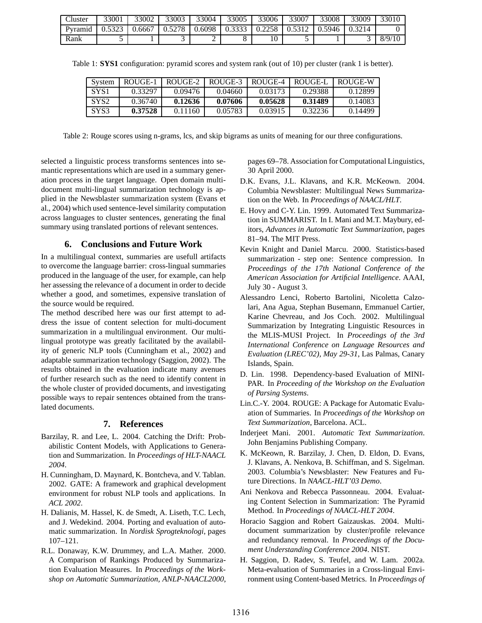| Cluster | 33001 | 33002  | 33003  | 33004  | 33005  | 33006  | 33007  | 33008  | 33009  | 33010  |
|---------|-------|--------|--------|--------|--------|--------|--------|--------|--------|--------|
| Pyramid |       | 0.6667 | 0.5278 | 0.6098 | 0.3333 | 0.2258 | 0.5312 | 0.5946 | 0.3214 |        |
| Rank    |       |        | ັ      | ∼      |        |        |        |        |        | 8/9/10 |

| System           | ROUGE-1 | ROUGE-2 | ROUGE-3 | ROUGE-4 | ROUGE-I | ROUGE-W |
|------------------|---------|---------|---------|---------|---------|---------|
| SYS <sub>1</sub> | 0.33297 | 0.09476 | 0.04660 | 0.03173 | 0.29388 | 0.12899 |
| SYS <sub>2</sub> | 0.36740 | 0.12636 | 0.07606 | 0.05628 | 0.31489 | 0.14083 |
| SYS3             | 0.37528 | 0.11160 | 0.05783 | 0.03915 | 0.32236 | 0.14499 |

Table 1: **SYS1** configuration: pyramid scores and system rank (out of 10) per cluster (rank 1 is better).

Table 2: Rouge scores using n-grams, lcs, and skip bigrams as units of meaning for our three configurations.

selected a linguistic process transforms sentences into semantic representations which are used in a summary generation process in the target language. Open domain multidocument multi-lingual summarization technology is applied in the Newsblaster summarization system (Evans et al., 2004) which used sentence-level similarity computation across languages to cluster sentences, generating the final summary using translated portions of relevant sentences.

## **6. Conclusions and Future Work**

In a multilingual context, summaries are usefull artifacts to overcome the language barrier: cross-lingual summaries produced in the language of the user, for example, can help her assessing the relevance of a document in order to decide whether a good, and sometimes, expensive translation of the source would be required.

The method described here was our first attempt to address the issue of content selection for multi-document summarization in a multilingual environment. Our multilingual prototype was greatly facilitated by the availability of generic NLP tools (Cunningham et al., 2002) and adaptable summarization technology (Saggion, 2002). The results obtained in the evaluation indicate many avenues of further research such as the need to identify content in the whole cluster of provided documents, and investigating possible ways to repair sentences obtained from the translated documents.

#### **7. References**

- Barzilay, R. and Lee, L. 2004. Catching the Drift: Probabilistic Content Models, with Applications to Generation and Summarization. In *Proceedings of HLT-NAACL 2004*.
- H. Cunningham, D. Maynard, K. Bontcheva, and V. Tablan. 2002. GATE: A framework and graphical development environment for robust NLP tools and applications. In *ACL 2002*.
- H. Dalianis, M. Hassel, K. de Smedt, A. Liseth, T.C. Lech, and J. Wedekind. 2004. Porting and evaluation of automatic summarization. In *Nordisk Sprogteknologi*, pages 107–121.
- R.L. Donaway, K.W. Drummey, and L.A. Mather. 2000. A Comparison of Rankings Produced by Summarization Evaluation Measures. In *Proceedings of the Workshop on Automatic Summarization, ANLP-NAACL2000*,

pages 69–78. Association for Computational Linguistics, 30 April 2000.

- D.K. Evans, J.L. Klavans, and K.R. McKeown. 2004. Columbia Newsblaster: Multilingual News Summarization on the Web. In *Proceedings of NAACL/HLT*.
- E. Hovy and C-Y. Lin. 1999. Automated Text Summarization in SUMMARIST. In I. Mani and M.T. Maybury, editors, *Advances in Automatic Text Summarization*, pages 81–94. The MIT Press.
- Kevin Knight and Daniel Marcu. 2000. Statistics-based summarization - step one: Sentence compression. In *Proceedings of the 17th National Conference of the American Association for Artificial Intelligence*. AAAI, July 30 - August 3.
- Alessandro Lenci, Roberto Bartolini, Nicoletta Calzolari, Ana Agua, Stephan Busemann, Emmanuel Cartier, Karine Chevreau, and Jos Coch. 2002. Multilingual Summarization by Integrating Linguistic Resources in the MLIS-MUSI Project. In *Proceedings of the 3rd International Conference on Language Resources and Evaluation (LREC'02), May 29-31*, Las Palmas, Canary Islands, Spain.
- D. Lin. 1998. Dependency-based Evaluation of MINI-PAR. In *Proceeding of the Workshop on the Evaluation of Parsing Systems*.
- Lin.C.-Y. 2004. ROUGE: A Package for Automatic Evaluation of Summaries. In *Proceedings of the Workshop on Text Summarization*, Barcelona. ACL.
- Inderjeet Mani. 2001. *Automatic Text Summarization*. John Benjamins Publishing Company.
- K. McKeown, R. Barzilay, J. Chen, D. Eldon, D. Evans, J. Klavans, A. Nenkova, B. Schiffman, and S. Sigelman. 2003. Columbia's Newsblaster: New Features and Future Directions. In *NAACL-HLT'03 Demo*.
- Ani Nenkova and Rebecca Passonneau. 2004. Evaluating Content Selection in Summarization: The Pyramid Method. In *Proceedings of NAACL-HLT 2004*.
- Horacio Saggion and Robert Gaizauskas. 2004. Multidocument summarization by cluster/profile relevance and redundancy removal. In *Proceedings of the Document Understanding Conference 2004*. NIST.
- H. Saggion, D. Radev, S. Teufel, and W. Lam. 2002a. Meta-evaluation of Summaries in a Cross-lingual Environment using Content-based Metrics. In *Proceedings of*